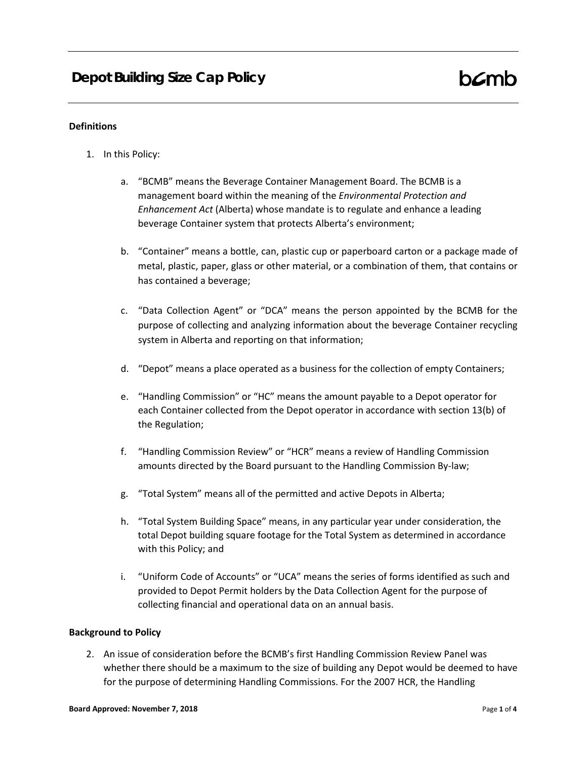## **Definitions**

- 1. In this Policy:
	- a. "BCMB" means the Beverage Container Management Board. The BCMB is a management board within the meaning of the *Environmental Protection and Enhancement Act* (Alberta) whose mandate is to regulate and enhance a leading beverage Container system that protects Alberta's environment;
	- b. "Container" means a bottle, can, plastic cup or paperboard carton or a package made of metal, plastic, paper, glass or other material, or a combination of them, that contains or has contained a beverage;
	- c. "Data Collection Agent" or "DCA" means the person appointed by the BCMB for the purpose of collecting and analyzing information about the beverage Container recycling system in Alberta and reporting on that information;
	- d. "Depot" means a place operated as a business for the collection of empty Containers;
	- e. "Handling Commission" or "HC" means the amount payable to a Depot operator for each Container collected from the Depot operator in accordance with section 13(b) of the Regulation;
	- f. "Handling Commission Review" or "HCR" means a review of Handling Commission amounts directed by the Board pursuant to the Handling Commission By-law;
	- g. "Total System" means all of the permitted and active Depots in Alberta;
	- h. "Total System Building Space" means, in any particular year under consideration, the total Depot building square footage for the Total System as determined in accordance with this Policy; and
	- i. "Uniform Code of Accounts" or "UCA" means the series of forms identified as such and provided to Depot Permit holders by the Data Collection Agent for the purpose of collecting financial and operational data on an annual basis.

## **Background to Policy**

2. An issue of consideration before the BCMB's first Handling Commission Review Panel was whether there should be a maximum to the size of building any Depot would be deemed to have for the purpose of determining Handling Commissions. For the 2007 HCR, the Handling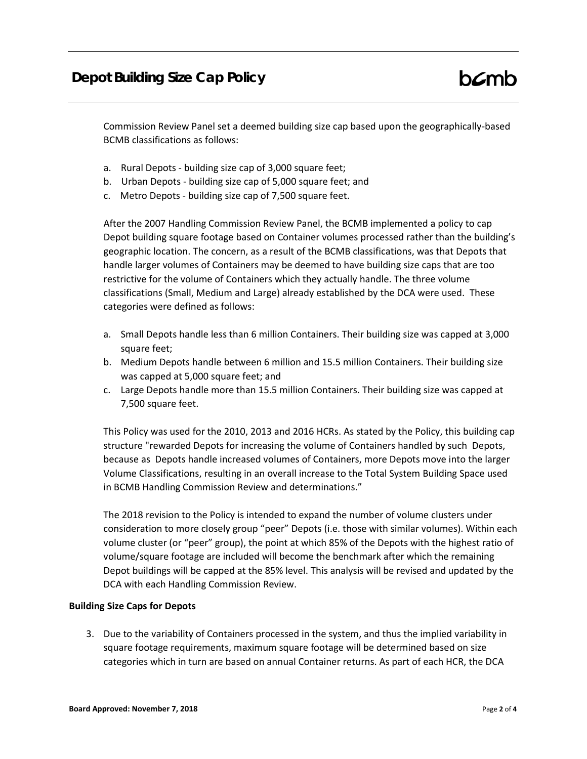Commission Review Panel set a deemed building size cap based upon the geographically-based BCMB classifications as follows:

- a. Rural Depots building size cap of 3,000 square feet;
- b. Urban Depots building size cap of 5,000 square feet; and
- c. Metro Depots building size cap of 7,500 square feet.

After the 2007 Handling Commission Review Panel, the BCMB implemented a policy to cap Depot building square footage based on Container volumes processed rather than the building's geographic location. The concern, as a result of the BCMB classifications, was that Depots that handle larger volumes of Containers may be deemed to have building size caps that are too restrictive for the volume of Containers which they actually handle. The three volume classifications (Small, Medium and Large) already established by the DCA were used. These categories were defined as follows:

- a. Small Depots handle less than 6 million Containers. Their building size was capped at 3,000 square feet;
- b. Medium Depots handle between 6 million and 15.5 million Containers. Their building size was capped at 5,000 square feet; and
- c. Large Depots handle more than 15.5 million Containers. Their building size was capped at 7,500 square feet.

This Policy was used for the 2010, 2013 and 2016 HCRs. As stated by the Policy, this building cap structure "rewarded Depots for increasing the volume of Containers handled by such Depots, because as Depots handle increased volumes of Containers, more Depots move into the larger Volume Classifications, resulting in an overall increase to the Total System Building Space used in BCMB Handling Commission Review and determinations."

The 2018 revision to the Policy is intended to expand the number of volume clusters under consideration to more closely group "peer" Depots (i.e. those with similar volumes). Within each volume cluster (or "peer" group), the point at which 85% of the Depots with the highest ratio of volume/square footage are included will become the benchmark after which the remaining Depot buildings will be capped at the 85% level. This analysis will be revised and updated by the DCA with each Handling Commission Review.

## **Building Size Caps for Depots**

3. Due to the variability of Containers processed in the system, and thus the implied variability in square footage requirements, maximum square footage will be determined based on size categories which in turn are based on annual Container returns. As part of each HCR, the DCA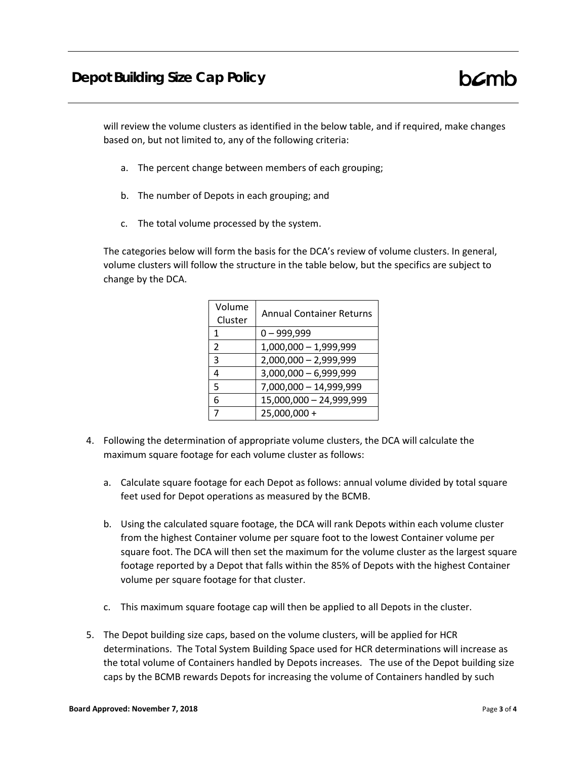will review the volume clusters as identified in the below table, and if required, make changes based on, but not limited to, any of the following criteria:

- a. The percent change between members of each grouping;
- b. The number of Depots in each grouping; and
- c. The total volume processed by the system.

The categories below will form the basis for the DCA's review of volume clusters. In general, volume clusters will follow the structure in the table below, but the specifics are subject to change by the DCA.

| Volume<br>Cluster | <b>Annual Container Returns</b> |
|-------------------|---------------------------------|
| 1                 | $0 - 999,999$                   |
| $\mathcal{P}$     | $1,000,000 - 1,999,999$         |
| 3                 | $2,000,000 - 2,999,999$         |
| 4                 | $3,000,000 - 6,999,999$         |
| 5                 | 7,000,000 - 14,999,999          |
| 6                 | 15,000,000 - 24,999,999         |
|                   | 25,000,000 +                    |

- 4. Following the determination of appropriate volume clusters, the DCA will calculate the maximum square footage for each volume cluster as follows:
	- a. Calculate square footage for each Depot as follows: annual volume divided by total square feet used for Depot operations as measured by the BCMB.
	- b. Using the calculated square footage, the DCA will rank Depots within each volume cluster from the highest Container volume per square foot to the lowest Container volume per square foot. The DCA will then set the maximum for the volume cluster as the largest square footage reported by a Depot that falls within the 85% of Depots with the highest Container volume per square footage for that cluster.
	- c. This maximum square footage cap will then be applied to all Depots in the cluster.
- 5. The Depot building size caps, based on the volume clusters, will be applied for HCR determinations. The Total System Building Space used for HCR determinations will increase as the total volume of Containers handled by Depots increases. The use of the Depot building size caps by the BCMB rewards Depots for increasing the volume of Containers handled by such